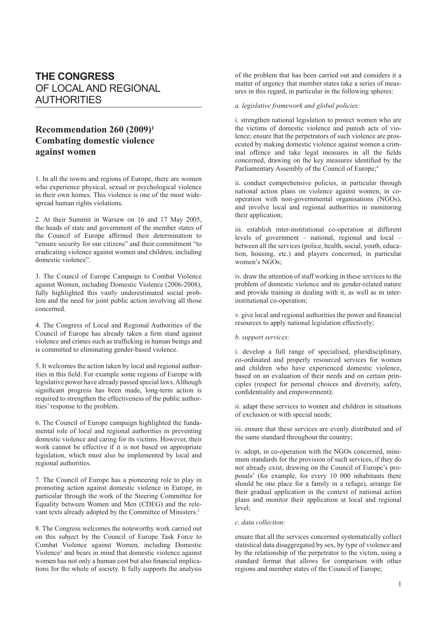# **THE CONGRESS** OF LOCAL AND REGIONAL AUTHORITIES

## **Recommendation 260 (2009)1 Combating domestic violence against women**

1. In all the towns and regions of Europe, there are women who experience physical, sexual or psychological violence in their own homes. This violence is one of the most widespread human rights violations.

2. At their Summit in Warsaw on 16 and 17 May 2005, the heads of state and government of the member states of the Council of Europe affirmed their determination to "ensure security for our citizens" and their commitment "to eradicating violence against women and children, including domestic violence".

3. The Council of Europe Campaign to Combat Violence against Women, including Domestic Violence (2006-2008), fully highlighted this vastly underestimated social problem and the need for joint public action involving all those concerned.

4. The Congress of Local and Regional Authorities of the Council of Europe has already taken a firm stand against violence and crimes such as trafficking in human beings and is committed to eliminating gender-based violence.

5. It welcomes the action taken by local and regional authorities in this field. For example some regions of Europe with legislative power have already passed special laws. Although significant progress has been made, long-term action is required to strengthen the effectiveness of the public authorities' response to the problem.

6. The Council of Europe campaign highlighted the fundamental role of local and regional authorities in preventing domestic violence and caring for its victims. However, their work cannot be effective if it is not based on appropriate legislation, which must also be implemented by local and regional authorities.

7. The Council of Europe has a pioneering role to play in promoting action against domestic violence in Europe, in particular through the work of the Steering Committee for Equality between Women and Men (CDEG) and the relevant texts already adopted by the Committee of Ministers.2

8. The Congress welcomes the noteworthy work carried out on this subject by the Council of Europe Task Force to Combat Violence against Women, including Domestic Violence<sup>3</sup> and bears in mind that domestic violence against women has not only a human cost but also financial implications for the whole of society. It fully supports the analysis

of the problem that has been carried out and considers it a matter of urgency that member states take a series of measures in this regard, in particular in the following spheres:

### *a. legislative framework and global policies:*

i. strengthen national legislation to protect women who are the victims of domestic violence and punish acts of violence; ensure that the perpetrators of such violence are prosecuted by making domestic violence against women a criminal offence and take legal measures in all the fields concerned, drawing on the key measures identified by the Parliamentary Assembly of the Council of Europe;<sup>4</sup>

ii. conduct comprehensive policies, in particular through national action plans on violence against women, in cooperation with non-governmental organisations (NGOs), and involve local and regional authorities in monitoring their application;

iii. establish inter-institutional co-operation at different levels of government – national, regional and local – between all the services (police, health, social, youth, education, housing, etc.) and players concerned, in particular women's NGOs;

iv. draw the attention of staff working in these services to the problem of domestic violence and its gender-related nature and provide training in dealing with it, as well as in interinstitutional co-operation;

v. give local and regional authorities the power and financial resources to apply national legislation effectively;

#### *b. support services:*

i. develop a full range of specialised, pluridisciplinary, co-ordinated and properly resourced services for women and children who have experienced domestic violence, based on an evaluation of their needs and on certain principles (respect for personal choices and diversity, safety, confidentiality and empowerment);

ii. adapt these services to women and children in situations of exclusion or with special needs;

iii. ensure that these services are evenly distributed and of the same standard throughout the country;

iv. adopt, in co-operation with the NGOs concerned, minimum standards for the provision of such services, if they do not already exist, drawing on the Council of Europe's proposals<sup>5</sup> (for example, for every 10 000 inhabitants there should be one place for a family in a refuge), arrange for their gradual application in the context of national action plans and monitor their application at local and regional level;

#### *c. data collection:*

ensure that all the services concerned systematically collect statistical data disaggregated by sex, by type of violence and by the relationship of the perpetrator to the victim, using a standard format that allows for comparison with other regions and member states of the Council of Europe;